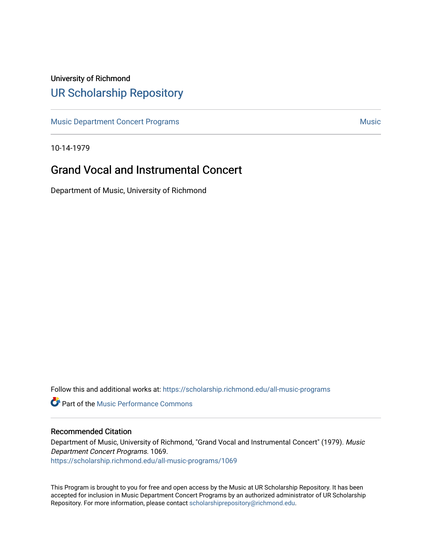## University of Richmond [UR Scholarship Repository](https://scholarship.richmond.edu/)

[Music Department Concert Programs](https://scholarship.richmond.edu/all-music-programs) [Music](https://scholarship.richmond.edu/music) Annual State Concert Programs Music Annual State Concert Programs Music

10-14-1979

## Grand Vocal and Instrumental Concert

Department of Music, University of Richmond

Follow this and additional works at: [https://scholarship.richmond.edu/all-music-programs](https://scholarship.richmond.edu/all-music-programs?utm_source=scholarship.richmond.edu%2Fall-music-programs%2F1069&utm_medium=PDF&utm_campaign=PDFCoverPages)

**C** Part of the [Music Performance Commons](https://network.bepress.com/hgg/discipline/1128?utm_source=scholarship.richmond.edu%2Fall-music-programs%2F1069&utm_medium=PDF&utm_campaign=PDFCoverPages)

## Recommended Citation

Department of Music, University of Richmond, "Grand Vocal and Instrumental Concert" (1979). Music Department Concert Programs. 1069. [https://scholarship.richmond.edu/all-music-programs/1069](https://scholarship.richmond.edu/all-music-programs/1069?utm_source=scholarship.richmond.edu%2Fall-music-programs%2F1069&utm_medium=PDF&utm_campaign=PDFCoverPages)

This Program is brought to you for free and open access by the Music at UR Scholarship Repository. It has been accepted for inclusion in Music Department Concert Programs by an authorized administrator of UR Scholarship Repository. For more information, please contact [scholarshiprepository@richmond.edu](mailto:scholarshiprepository@richmond.edu).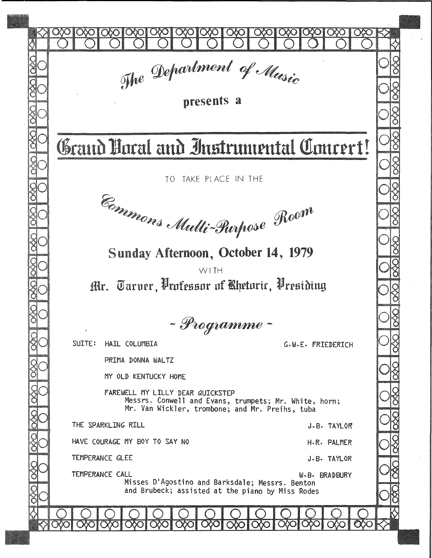| The Department of Music<br>presents a                                                                                                          |  |  |  |  |  |  |  |  |  |  |
|------------------------------------------------------------------------------------------------------------------------------------------------|--|--|--|--|--|--|--|--|--|--|
| Grand Boral and Instrumental Concert!                                                                                                          |  |  |  |  |  |  |  |  |  |  |
| TO TAKE PLACE IN THE<br>Emmons Multi-Purpose Room                                                                                              |  |  |  |  |  |  |  |  |  |  |
| Sunday Afternoon, October 14, 1979<br>WITH<br>Mr. Taruer, Professor of Bhetoric, Presiding                                                     |  |  |  |  |  |  |  |  |  |  |
| - Programme -                                                                                                                                  |  |  |  |  |  |  |  |  |  |  |
| SUITE: HAIL COLUMBIA<br>G.W.E. FRIEDERICH<br>PRIMA DONNA WALTZ<br>MY OLD KENTUCKY HOME                                                         |  |  |  |  |  |  |  |  |  |  |
| FAREWELL MY LILLY DEAR QUICKSTEP<br>Messrs. Conwell and Evans, trumpets; Mr. White, horn;<br>Mr. Van Wickler, trombone; and Mr. Preihs, tuba   |  |  |  |  |  |  |  |  |  |  |
| THE SPARKLING RILL<br>J.B. TAYLOR<br>HAVE COURAGE MY BOY TO SAY NO<br>H.R. PALMER                                                              |  |  |  |  |  |  |  |  |  |  |
| TEMPERANCE GLEE<br>J.B. TAYLOR                                                                                                                 |  |  |  |  |  |  |  |  |  |  |
| TEMPERANCE CALL<br><b>W.B. BRADBURY</b><br>Misses D'Agostino and Barksdale; Messrs. Benton<br>and Brubeck; assisted at the piano by Miss Rodes |  |  |  |  |  |  |  |  |  |  |
|                                                                                                                                                |  |  |  |  |  |  |  |  |  |  |